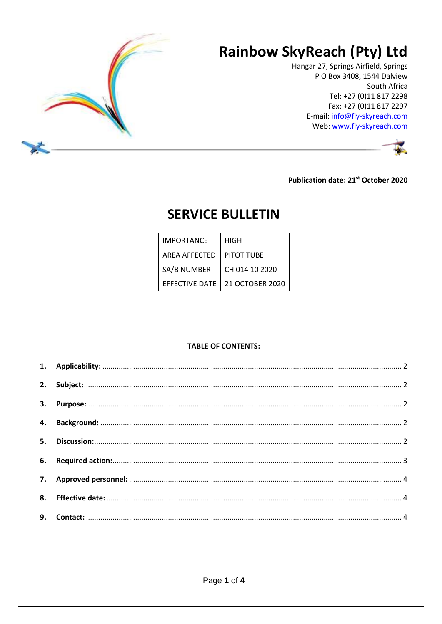

Hangar 27, Springs Airfield, Springs P O Box 3408, 1544 Dalview South Africa Tel: +27 (0)11 817 2298 Fax: +27 (0)11 817 2297 E-mail: info@fly-skyreach.com Web: www.fly-skyreach.com



**Publication date: 21st October 2020** 

# **SERVICE BULLETIN**

| IMPORTANCE            | HIGH            |
|-----------------------|-----------------|
| <b>AREA AFFECTED</b>  | PITOT TUBE      |
| SA/B NUMBER           | CH 014 10 2020  |
| <b>EFFECTIVE DATE</b> | 21 OCTOBER 2020 |

#### **TABLE OF CONTENTS:**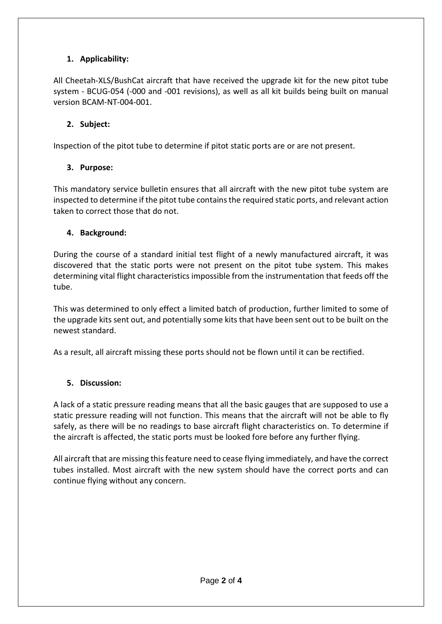# <span id="page-1-0"></span>**1. Applicability:**

All Cheetah-XLS/BushCat aircraft that have received the upgrade kit for the new pitot tube system - BCUG-054 (-000 and -001 revisions), as well as all kit builds being built on manual version BCAM-NT-004-001.

# <span id="page-1-1"></span>**2. Subject:**

Inspection of the pitot tube to determine if pitot static ports are or are not present.

# <span id="page-1-2"></span>**3. Purpose:**

This mandatory service bulletin ensures that all aircraft with the new pitot tube system are inspected to determine if the pitot tube contains the required static ports, and relevant action taken to correct those that do not.

# <span id="page-1-3"></span>**4. Background:**

During the course of a standard initial test flight of a newly manufactured aircraft, it was discovered that the static ports were not present on the pitot tube system. This makes determining vital flight characteristics impossible from the instrumentation that feeds off the tube.

This was determined to only effect a limited batch of production, further limited to some of the upgrade kits sent out, and potentially some kits that have been sent out to be built on the newest standard.

As a result, all aircraft missing these ports should not be flown until it can be rectified.

# <span id="page-1-4"></span>**5. Discussion:**

A lack of a static pressure reading means that all the basic gauges that are supposed to use a static pressure reading will not function. This means that the aircraft will not be able to fly safely, as there will be no readings to base aircraft flight characteristics on. To determine if the aircraft is affected, the static ports must be looked fore before any further flying.

All aircraft that are missing this feature need to cease flying immediately, and have the correct tubes installed. Most aircraft with the new system should have the correct ports and can continue flying without any concern.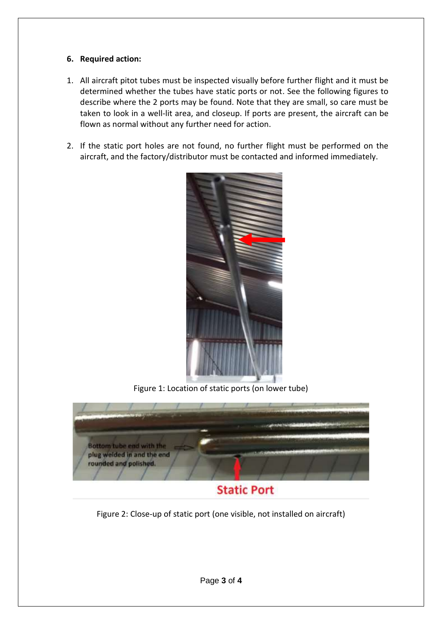### <span id="page-2-0"></span>**6. Required action:**

- 1. All aircraft pitot tubes must be inspected visually before further flight and it must be determined whether the tubes have static ports or not. See the following figures to describe where the 2 ports may be found. Note that they are small, so care must be taken to look in a well-lit area, and closeup. If ports are present, the aircraft can be flown as normal without any further need for action.
- 2. If the static port holes are not found, no further flight must be performed on the aircraft, and the factory/distributor must be contacted and informed immediately.



Figure 1: Location of static ports (on lower tube)

![](_page_2_Picture_5.jpeg)

Figure 2: Close-up of static port (one visible, not installed on aircraft)